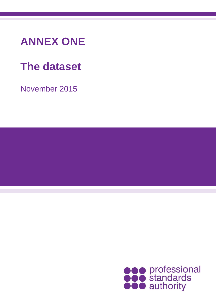## **ANNEX ONE**

# **The dataset**

November 2015

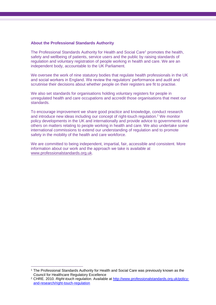#### **About the Professional Standards Authority**

The Professional Standards Authority for Health and Social Care<sup>1</sup> promotes the health, safety and wellbeing of patients, service users and the public by raising standards of regulation and voluntary registration of people working in health and care. We are an independent body, accountable to the UK Parliament.

We oversee the work of nine statutory bodies that regulate health professionals in the UK and social workers in England. We review the regulators' performance and audit and scrutinise their decisions about whether people on their registers are fit to practise.

We also set standards for organisations holding voluntary registers for people in unregulated health and care occupations and accredit those organisations that meet our standards.

To encourage improvement we share good practice and knowledge, conduct research and introduce new ideas including our concept of right-touch regulation.<sup>2</sup> We monitor policy developments in the UK and internationally and provide advice to governments and others on matters relating to people working in health and care. We also undertake some international commissions to extend our understanding of regulation and to promote safety in the mobility of the health and care workforce.

We are committed to being independent, impartial, fair, accessible and consistent. More information about our work and the approach we take is available at [www.professionalstandards.org.uk.](http://www.professionalstandards.org.uk/)

 $\overline{a}$ 

<sup>1</sup> The Professional Standards Authority for Health and Social Care was previously known as the Council for Healthcare Regulatory Excellence

<sup>2</sup> CHRE. 2010. *Right-touch regulation*. Available at [http://www.professionalstandards.org.uk/policy](http://www.professionalstandards.org.uk/policy-and-research/right-touch-regulation)[and-research/right-touch-regulation](http://www.professionalstandards.org.uk/policy-and-research/right-touch-regulation)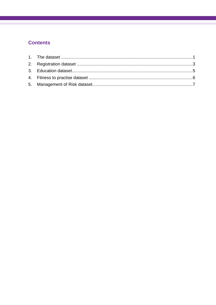### **Contents**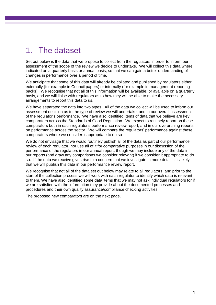### <span id="page-3-0"></span>1. The dataset

Set out below is the data that we propose to collect from the regulators in order to inform our assessment of the scope of the review we decide to undertake. We will collect this data where indicated on a quarterly basis or annual basis, so that we can gain a better understanding of changes in performance over a period of time.

We anticipate that some of this data will already be collated and published by regulators either externally (for example in Council papers) or internally (for example in management reporting packs). We recognise that not all of this information will be available, or available on a quarterly basis, and we will liaise with regulators as to how they will be able to make the necessary arrangements to report this data to us.

We have separated the data into two types. All of the data we collect will be used to inform our assessment decision as to the type of review we will undertake, and in our overall assessment of the regulator's performance. We have also identified items of data that we believe are key comparators across the Standards of Good Regulation. We expect to routinely report on these comparators both in each regulator's performance review report, and in our overarching reports on performance across the sector. We will compare the regulators' performance against these comparators where we consider it appropriate to do so

We do not envisage that we would routinely publish all of the data as part of our performance review of each regulator, nor use all of it for comparative purposes in our discussion of the performance of the regulators in our annual report, though we may include any of the data in our reports (and draw any comparisons we consider relevant) if we consider it appropriate to do so. If the data we receive gives rise to a concern that we investigate in more detail, it is likely that we will publish this data in our performance review report.

We recognise that not all of the data set out below may relate to all regulators, and prior to the start of the collection process we will work with each regulator to identify which data is relevant to them. We have also identified some data items that we may not ask individual regulators for if we are satisfied with the information they provide about the documented processes and procedures and their own quality assurance/compliance checking activities.

The proposed new comparators are on the next page.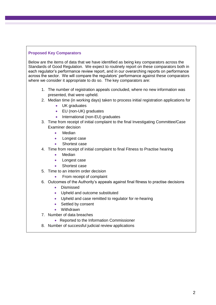#### **Proposed Key Comparators**

Below are the items of data that we have identified as being key comparators across the Standards of Good Regulation. We expect to routinely report on these comparators both in each regulator's performance review report, and in our overarching reports on performance across the sector. We will compare the regulators' performance against these comparators where we consider it appropriate to do so. The key comparators are:

- 1. The number of registration appeals concluded, where no new information was presented, that were upheld.
- 2. Median time (in working days) taken to process initial registration applications for
	- UK graduates
	- EU (non-UK) graduates
	- International (non-EU) graduates
- 3. Time from receipt of initial complaint to the final Investigating Committee/Case Examiner decision
	- Median
	- Longest case
	- Shortest case
- 4. Time from receipt of initial complaint to final Fitness to Practise hearing
	- Median
	- Longest case
	- Shortest case
- 5. Time to an interim order decision
	- From receipt of complaint
- 6. Outcomes of the Authority's appeals against final fitness to practise decisions
	- Dismissed
	- Upheld and outcome substituted
	- Upheld and case remitted to regulator for re-hearing
	- Settled by consent
	- Withdrawn
- 7. Number of data breaches
	- Reported to the Information Commissioner
- 8. Number of successful judicial review applications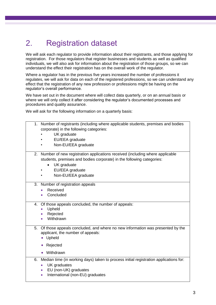## <span id="page-5-0"></span>2. Registration dataset

We will ask each regulator to provide information about their registrants, and those applying for registration. For those regulators that register businesses and students as well as qualified individuals, we will also ask for information about the registration of those groups, so we can understand the effect their registration has on the overall work of the regulator.

Where a regulator has in the previous five years increased the number of professions it regulates, we will ask for data on each of the registered professions, so we can understand any effect that the registration of any new profession or professions might be having on the regulator's overall performance.

We have set out in the document where will collect data quarterly, or on an annual basis or where we will only collect it after considering the regulator's documented processes and procedures and quality assurance.

We will ask for the following information on a quarterly basis:

|    | 1. Number of registrants (including where applicable students, premises and bodies    |
|----|---------------------------------------------------------------------------------------|
|    | corporate) in the following categories:                                               |
|    | UK graduate                                                                           |
|    | EU/EEA graduate                                                                       |
|    | Non-EU/EEA graduate                                                                   |
| 2. | Number of new registration applications received (including where applicable          |
|    | students, premises and bodies corporate) in the following categories:                 |
|    | UK graduate<br>$\bullet$                                                              |
|    |                                                                                       |
|    | EU/EEA graduate                                                                       |
|    | Non-EU/EEA graduate                                                                   |
|    | 3. Number of registration appeals                                                     |
|    | Received<br>$\bullet$                                                                 |
|    | Concluded<br>$\bullet$                                                                |
|    |                                                                                       |
| 4. | Of those appeals concluded, the number of appeals:                                    |
|    | Upheld<br>$\bullet$                                                                   |
|    | Rejected<br>$\bullet$                                                                 |
|    | Withdrawn<br>$\bullet$                                                                |
| 5. | Of those appeals concluded, and where no new information was presented by the         |
|    | applicant, the number of appeals:                                                     |
|    | Upheld<br>$\bullet$                                                                   |
|    | Rejected<br>$\bullet$                                                                 |
|    |                                                                                       |
|    | Withdrawn<br>$\bullet$                                                                |
| 6. | Median time (in working days) taken to process initial registration applications for: |
|    | UK graduates<br>$\bullet$                                                             |
|    | EU (non-UK) graduates<br>$\bullet$                                                    |
|    | International (non-EU) graduates<br>$\bullet$                                         |
|    |                                                                                       |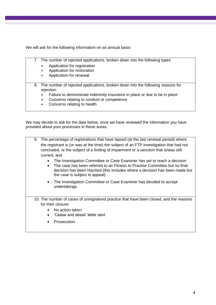We will ask for the following information on an annual basis:

- 7. The number of rejected applications, broken down into the following types
	- Application for registration
	- Application for restoration
	- Application for renewal
- 8. The number of rejected applications, broken down into the following reasons for rejection:
	- Failure to demonstrate indemnity insurance in place or due to be in place
	- Concerns relating to conduct or competence
	- Concerns relating to health

We may decide to ask for the data below, once we have reviewed the information you have provided about your processes in these areas.

| 9. The percentage of registrations that have lapsed (at the last renewal period) where<br>the registrant is (or was at the time) the subject of an FTP investigation that had not<br>concluded, or the subject of a finding of impairment or a sanction that is/was still<br>current, and |  |  |
|-------------------------------------------------------------------------------------------------------------------------------------------------------------------------------------------------------------------------------------------------------------------------------------------|--|--|
| The Investigation Committee or Case Examiner has yet to reach a decision                                                                                                                                                                                                                  |  |  |
| The case has been referred to an Fitness to Practise Committee but no final<br>decision has been reached (this includes where a decision has been made but<br>the case is subject to appeal)                                                                                              |  |  |
| The Investigation Committee or Case Examiner has decided to accept<br>$\bullet$<br>undertakings.                                                                                                                                                                                          |  |  |
| 10. The number of cases of unregistered practice that have been closed, and the reasons                                                                                                                                                                                                   |  |  |
| for their closure:                                                                                                                                                                                                                                                                        |  |  |
| No action taken                                                                                                                                                                                                                                                                           |  |  |
| 'Cease and desist' letter sent                                                                                                                                                                                                                                                            |  |  |
| Prosecution                                                                                                                                                                                                                                                                               |  |  |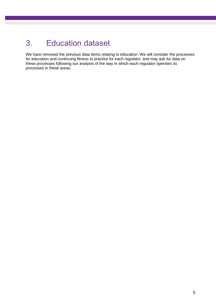### <span id="page-7-0"></span>3. Education dataset

We have removed the previous data items relating to education. We will consider the processes for education and continuing fitness to practise for each regulator, and may ask for data on these processes following our analysis of the way in which each regulator operates its processes in these areas.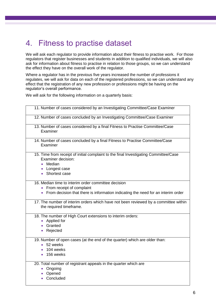### <span id="page-8-0"></span>4. Fitness to practise dataset

We will ask each regulator to provide information about their fitness to practise work. For those regulators that register businesses and students in addition to qualified individuals, we will also ask for information about fitness to practise in relation to those groups, so we can understand the effect they have on the overall work of the regulator.

Where a regulator has in the previous five years increased the number of professions it regulates, we will ask for data on each of the registered professions, so we can understand any effect that the registration of any new profession or professions might be having on the regulator's overall performance.

We will ask for the following information on a quarterly basis:

| 11. Number of cases considered by an Investigating Committee/Case Examiner                                                                                |                                                                                     |
|-----------------------------------------------------------------------------------------------------------------------------------------------------------|-------------------------------------------------------------------------------------|
| 12. Number of cases concluded by an Investigating Committee/Case Examiner                                                                                 |                                                                                     |
| 13. Number of cases considered by a final Fitness to Practise Committee/Case<br>Examiner                                                                  |                                                                                     |
| 14. Number of cases concluded by a final Fitness to Practise Committee/Case<br>Examiner                                                                   |                                                                                     |
| 15. Time from receipt of initial complaint to the final Investigating Committee/Case<br>Examiner decision:<br>Median<br>• Longest case<br>• Shortest case |                                                                                     |
| 16. Median time to interim order committee decision<br>• From receipt of complaint                                                                        | From decision that there is information indicating the need for an interim order    |
| the required timeframe.                                                                                                                                   | 17. The number of interim orders which have not been reviewed by a committee within |
| 18. The number of High Court extensions to interim orders:<br>• Applied for<br>• Granted<br>Rejected                                                      |                                                                                     |
| 19. Number of open cases (at the end of the quarter) which are older than:<br>• 52 weeks<br>104 weeks<br>$\bullet$ 156 weeks                              |                                                                                     |
| 20. Total number of registrant appeals in the quarter which are<br>Ongoing<br>Opened<br>Concluded                                                         |                                                                                     |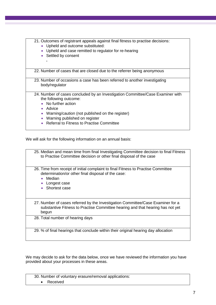| 21. Outcomes of registrant appeals against final fitness to practise decisions:<br>• Upheld and outcome substituted:<br>• Upheld and case remitted to regulator for re-hearing<br>• Settled by consent                            |  |
|-----------------------------------------------------------------------------------------------------------------------------------------------------------------------------------------------------------------------------------|--|
| 22. Number of cases that are closed due to the referrer being anonymous                                                                                                                                                           |  |
| 23. Number of occasions a case has been referred to another investigating<br>body/regulator                                                                                                                                       |  |
| 24. Number of cases concluded by an Investigation Committee/Case Examiner with<br>the following outcome:<br>• No further action<br>• Advice<br>• Warning/caution (not published on the register)<br>Warning published on register |  |

• Referral to Fitness to Practise Committee

<span id="page-9-0"></span>We will ask for the following information on an annual basis:

25. Median and mean time from final Investigating Committee decision to final Fitness to Practise Committee decision or other final disposal of the case 26. Time from receipt of initial complaint to final Fitness to Practise Committee determination/or other final disposal of the case: • Median • Longest case • Shortest case 27. Number of cases referred by the Investigation Committee/Case Examiner for a substantive Fitness to Practise Committee hearing and that hearing has not yet begun 28. Total number of hearing days 29. % of final hearings that conclude within their original hearing day allocation

We may decide to ask for the data below, once we have reviewed the information you have provided about your processes in these areas.

| 30. Number of voluntary erasure/removal applications: |  |
|-------------------------------------------------------|--|
| Received                                              |  |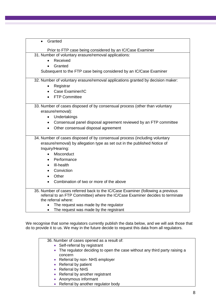| Granted<br>$\bullet$                                                                                 |  |  |
|------------------------------------------------------------------------------------------------------|--|--|
| Prior to FTP case being considered by an IC/Case Examiner                                            |  |  |
| 31. Number of voluntary erasure/removal applications:                                                |  |  |
| Received                                                                                             |  |  |
| Granted                                                                                              |  |  |
| Subsequent to the FTP case being considered by an IC/Case Examiner                                   |  |  |
|                                                                                                      |  |  |
| 32. Number of voluntary erasure/removal applications granted by decision maker:                      |  |  |
| Registrar                                                                                            |  |  |
| Case Examiner/IC<br>$\bullet$                                                                        |  |  |
| <b>FTP Committee</b>                                                                                 |  |  |
| 33. Number of cases disposed of by consensual process (other than voluntary                          |  |  |
| erasure/removal):                                                                                    |  |  |
| Undertakings<br>$\bullet$                                                                            |  |  |
| Consensual panel disposal agreement reviewed by an FTP committee<br>$\bullet$                        |  |  |
| Other consensual disposal agreement<br>$\bullet$                                                     |  |  |
|                                                                                                      |  |  |
| 34. Number of cases disposed of by consensual process (including voluntary                           |  |  |
| erasure/removal) by allegation type as set out in the published Notice of                            |  |  |
| Inquiry/Hearing:                                                                                     |  |  |
| Misconduct                                                                                           |  |  |
| Performance<br>$\bullet$                                                                             |  |  |
| III-health<br>$\bullet$                                                                              |  |  |
| Conviction                                                                                           |  |  |
| Other<br>$\bullet$                                                                                   |  |  |
| Combination of two or more of the above<br>$\bullet$                                                 |  |  |
|                                                                                                      |  |  |
| 35. Number of cases referred back to the IC/Case Examiner (following a previous                      |  |  |
| referral to an FTP Committee) where the IC/Case Examiner decides to terminate<br>the referral where: |  |  |
| The request was made by the regulator                                                                |  |  |
| The request was made by the registrant<br>$\bullet$                                                  |  |  |

We recognise that some regulators currently publish the data below, and we will ask those that do to provide it to us. We may in the future decide to request this data from all regulators.

36. Number of cases opened as a result of:

- Self-referral by registrant
- The regulator deciding to open the case without any third party raising a concern
- Referral by non- NHS employer
- Referral by patient
- Referral by NHS
- Referral by another registrant
- Anonymous informant
- Referral by another regulator body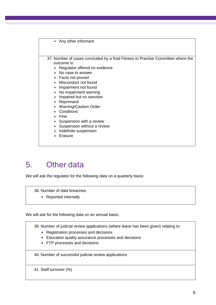

### 5. Other data

We will ask the regulator for the following data on a quarterly basis:

38. Number of data breaches:

• Reported internally

We will ask for the following data on an annual basis:

39. Number of judicial review applications (where leave has been given) relating to:

- Registration processes and decisions
- Education quality assurance processes and decisions
- FTP processes and decisions

40. Number of successful judicial review applications

41. Staff turnover (%)